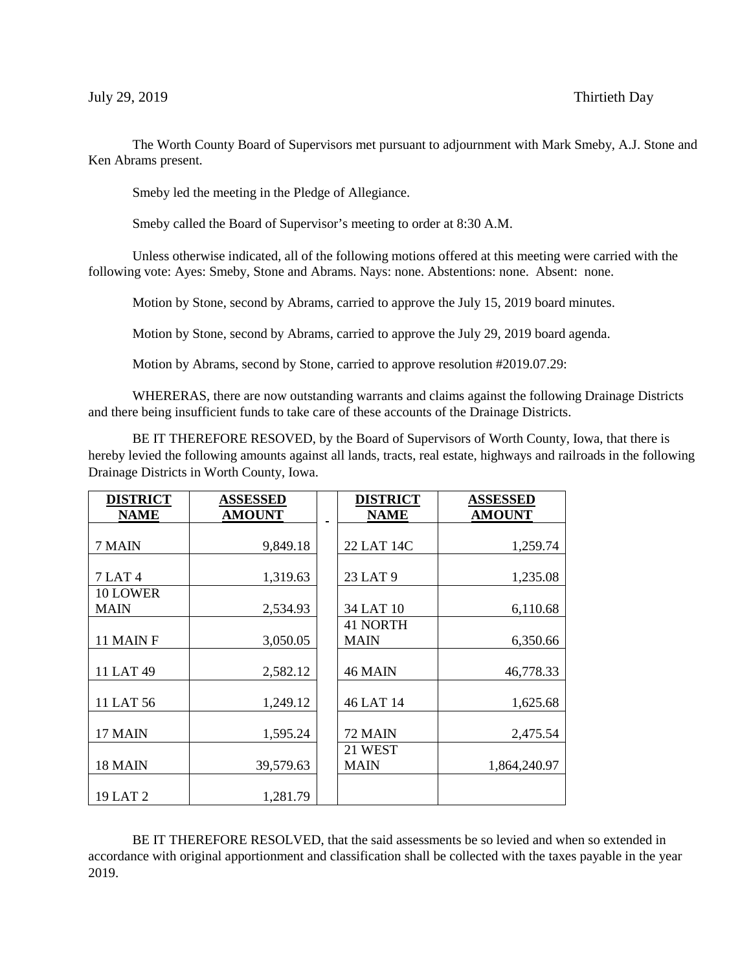The Worth County Board of Supervisors met pursuant to adjournment with Mark Smeby, A.J. Stone and Ken Abrams present.

Smeby led the meeting in the Pledge of Allegiance.

Smeby called the Board of Supervisor's meeting to order at 8:30 A.M.

Unless otherwise indicated, all of the following motions offered at this meeting were carried with the following vote: Ayes: Smeby, Stone and Abrams. Nays: none. Abstentions: none. Absent: none.

Motion by Stone, second by Abrams, carried to approve the July 15, 2019 board minutes.

Motion by Stone, second by Abrams, carried to approve the July 29, 2019 board agenda.

Motion by Abrams, second by Stone, carried to approve resolution #2019.07.29:

WHERERAS, there are now outstanding warrants and claims against the following Drainage Districts and there being insufficient funds to take care of these accounts of the Drainage Districts.

BE IT THEREFORE RESOVED, by the Board of Supervisors of Worth County, Iowa, that there is hereby levied the following amounts against all lands, tracts, real estate, highways and railroads in the following Drainage Districts in Worth County, Iowa.

| <b>DISTRICT</b> | <b>ASSESSED</b> | <b>DISTRICT</b> | <b>ASSESSED</b> |
|-----------------|-----------------|-----------------|-----------------|
| <b>NAME</b>     | <b>AMOUNT</b>   | <b>NAME</b>     | <b>AMOUNT</b>   |
|                 |                 |                 |                 |
| 7 MAIN          | 9,849.18        | 22 LAT 14C      | 1,259.74        |
|                 |                 |                 |                 |
| <b>7 LAT 4</b>  | 1,319.63        | 23 LAT 9        | 1,235.08        |
| 10 LOWER        |                 |                 |                 |
| <b>MAIN</b>     | 2,534.93        | 34 LAT 10       | 6,110.68        |
|                 |                 | <b>41 NORTH</b> |                 |
| 11 MAIN F       | 3,050.05        | <b>MAIN</b>     | 6,350.66        |
|                 |                 |                 |                 |
| 11 LAT 49       | 2,582.12        | 46 MAIN         | 46,778.33       |
|                 |                 |                 |                 |
| 11 LAT 56       | 1,249.12        | 46 LAT 14       | 1,625.68        |
|                 |                 |                 |                 |
| 17 MAIN         | 1,595.24        | 72 MAIN         | 2,475.54        |
|                 |                 | 21 WEST         |                 |
| 18 MAIN         | 39,579.63       | <b>MAIN</b>     | 1,864,240.97    |
|                 |                 |                 |                 |
| 19 LAT 2        | 1,281.79        |                 |                 |

BE IT THEREFORE RESOLVED, that the said assessments be so levied and when so extended in accordance with original apportionment and classification shall be collected with the taxes payable in the year 2019.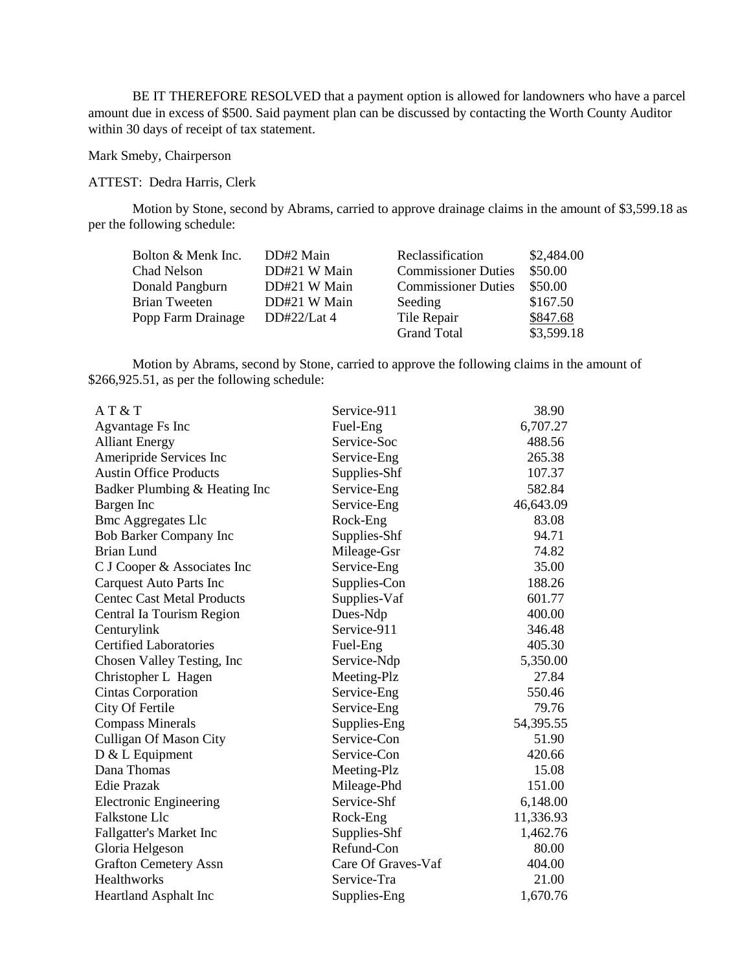BE IT THEREFORE RESOLVED that a payment option is allowed for landowners who have a parcel amount due in excess of \$500. Said payment plan can be discussed by contacting the Worth County Auditor within 30 days of receipt of tax statement.

## Mark Smeby, Chairperson

## ATTEST: Dedra Harris, Clerk

Motion by Stone, second by Abrams, carried to approve drainage claims in the amount of \$3,599.18 as per the following schedule:

| Bolton & Menk Inc.   | DD#2 Main    | Reclassification           | \$2,484.00 |
|----------------------|--------------|----------------------------|------------|
| Chad Nelson          | DD#21 W Main | <b>Commissioner Duties</b> | \$50.00    |
| Donald Pangburn      | DD#21 W Main | <b>Commissioner Duties</b> | \$50.00    |
| <b>Brian Tweeten</b> | DD#21 W Main | Seeding                    | \$167.50   |
| Popp Farm Drainage   | DD#22/Lat 4  | Tile Repair                | \$847.68   |
|                      |              | <b>Grand Total</b>         | \$3,599.18 |

Motion by Abrams, second by Stone, carried to approve the following claims in the amount of \$266,925.51, as per the following schedule:

| AT & T                            | Service-911        | 38.90     |
|-----------------------------------|--------------------|-----------|
| Agvantage Fs Inc                  | Fuel-Eng           | 6,707.27  |
| <b>Alliant Energy</b>             | Service-Soc        | 488.56    |
| Ameripride Services Inc           | Service-Eng        | 265.38    |
| <b>Austin Office Products</b>     | Supplies-Shf       | 107.37    |
| Badker Plumbing & Heating Inc     | Service-Eng        | 582.84    |
| Bargen Inc                        | Service-Eng        | 46,643.09 |
| <b>Bmc Aggregates Llc</b>         | Rock-Eng           | 83.08     |
| <b>Bob Barker Company Inc</b>     | Supplies-Shf       | 94.71     |
| <b>Brian Lund</b>                 | Mileage-Gsr        | 74.82     |
| C J Cooper & Associates Inc       | Service-Eng        | 35.00     |
| <b>Carquest Auto Parts Inc</b>    | Supplies-Con       | 188.26    |
| <b>Centec Cast Metal Products</b> | Supplies-Vaf       | 601.77    |
| Central Ia Tourism Region         | Dues-Ndp           | 400.00    |
| Centurylink                       | Service-911        | 346.48    |
| <b>Certified Laboratories</b>     | Fuel-Eng           | 405.30    |
| Chosen Valley Testing, Inc.       | Service-Ndp        | 5,350.00  |
| Christopher L Hagen               | Meeting-Plz        | 27.84     |
| <b>Cintas Corporation</b>         | Service-Eng        | 550.46    |
| City Of Fertile                   | Service-Eng        | 79.76     |
| <b>Compass Minerals</b>           | Supplies-Eng       | 54,395.55 |
| <b>Culligan Of Mason City</b>     | Service-Con        | 51.90     |
| $D & L$ Equipment                 | Service-Con        | 420.66    |
| Dana Thomas                       | Meeting-Plz        | 15.08     |
| <b>Edie Prazak</b>                | Mileage-Phd        | 151.00    |
| <b>Electronic Engineering</b>     | Service-Shf        | 6,148.00  |
| Falkstone Llc                     | Rock-Eng           | 11,336.93 |
| Fallgatter's Market Inc           | Supplies-Shf       | 1,462.76  |
| Gloria Helgeson                   | Refund-Con         | 80.00     |
| <b>Grafton Cemetery Assn</b>      | Care Of Graves-Vaf | 404.00    |
| <b>Healthworks</b>                | Service-Tra        | 21.00     |
| Heartland Asphalt Inc             | Supplies-Eng       | 1,670.76  |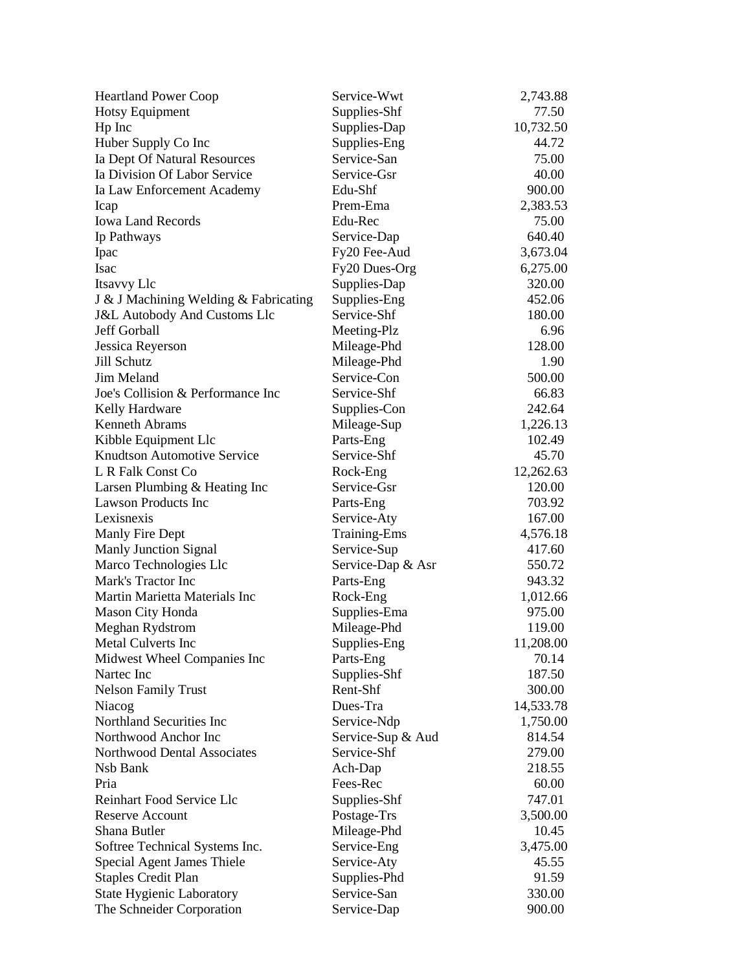| <b>Heartland Power Coop</b>             | Service-Wwt         | 2,743.88  |
|-----------------------------------------|---------------------|-----------|
| <b>Hotsy Equipment</b>                  | Supplies-Shf        | 77.50     |
| Hp Inc                                  | Supplies-Dap        | 10,732.50 |
| Huber Supply Co Inc                     | Supplies-Eng        | 44.72     |
| Ia Dept Of Natural Resources            | Service-San         | 75.00     |
| Ia Division Of Labor Service            | Service-Gsr         | 40.00     |
| Ia Law Enforcement Academy              | Edu-Shf             | 900.00    |
| Icap                                    | Prem-Ema            | 2,383.53  |
| <b>Iowa Land Records</b>                | Edu-Rec             | 75.00     |
| Ip Pathways                             | Service-Dap         | 640.40    |
| Ipac                                    | Fy20 Fee-Aud        | 3,673.04  |
| <b>Isac</b>                             | Fy20 Dues-Org       | 6,275.00  |
| Itsavvy Llc                             | Supplies-Dap        | 320.00    |
| J & J Machining Welding & Fabricating   | Supplies-Eng        | 452.06    |
| <b>J&amp;L Autobody And Customs Llc</b> | Service-Shf         | 180.00    |
| Jeff Gorball                            | Meeting-Plz         | 6.96      |
| Jessica Reyerson                        | Mileage-Phd         | 128.00    |
| Jill Schutz                             | Mileage-Phd         | 1.90      |
| Jim Meland                              | Service-Con         | 500.00    |
| Joe's Collision & Performance Inc       | Service-Shf         | 66.83     |
| Kelly Hardware                          | Supplies-Con        | 242.64    |
| <b>Kenneth Abrams</b>                   | Mileage-Sup         | 1,226.13  |
| Kibble Equipment Llc                    | Parts-Eng           | 102.49    |
| <b>Knudtson Automotive Service</b>      | Service-Shf         | 45.70     |
| L R Falk Const Co                       | Rock-Eng            | 12,262.63 |
| Larsen Plumbing & Heating Inc           | Service-Gsr         | 120.00    |
| <b>Lawson Products Inc</b>              | Parts-Eng           | 703.92    |
| Lexisnexis                              | Service-Aty         | 167.00    |
| Manly Fire Dept                         | <b>Training-Ems</b> | 4,576.18  |
| <b>Manly Junction Signal</b>            | Service-Sup         | 417.60    |
| Marco Technologies Llc                  | Service-Dap & Asr   | 550.72    |
| Mark's Tractor Inc                      | Parts-Eng           | 943.32    |
| Martin Marietta Materials Inc           | Rock-Eng            | 1,012.66  |
| Mason City Honda                        | Supplies-Ema        | 975.00    |
| Meghan Rydstrom                         | Mileage-Phd         | 119.00    |
| Metal Culverts Inc                      | Supplies-Eng        | 11,208.00 |
| Midwest Wheel Companies Inc             | Parts-Eng           | 70.14     |
| Nartec Inc                              | Supplies-Shf        | 187.50    |
| <b>Nelson Family Trust</b>              | Rent-Shf            | 300.00    |
| Niacog                                  | Dues-Tra            | 14,533.78 |
| Northland Securities Inc                | Service-Ndp         | 1,750.00  |
| Northwood Anchor Inc                    | Service-Sup & Aud   | 814.54    |
| Northwood Dental Associates             | Service-Shf         | 279.00    |
| Nsb Bank                                | Ach-Dap             | 218.55    |
| Pria                                    | Fees-Rec            | 60.00     |
| Reinhart Food Service Llc               | Supplies-Shf        | 747.01    |
| <b>Reserve Account</b>                  | Postage-Trs         | 3,500.00  |
| Shana Butler                            | Mileage-Phd         | 10.45     |
| Softree Technical Systems Inc.          | Service-Eng         | 3,475.00  |
| <b>Special Agent James Thiele</b>       | Service-Aty         | 45.55     |
| <b>Staples Credit Plan</b>              | Supplies-Phd        | 91.59     |
| <b>State Hygienic Laboratory</b>        | Service-San         | 330.00    |
| The Schneider Corporation               | Service-Dap         | 900.00    |
|                                         |                     |           |